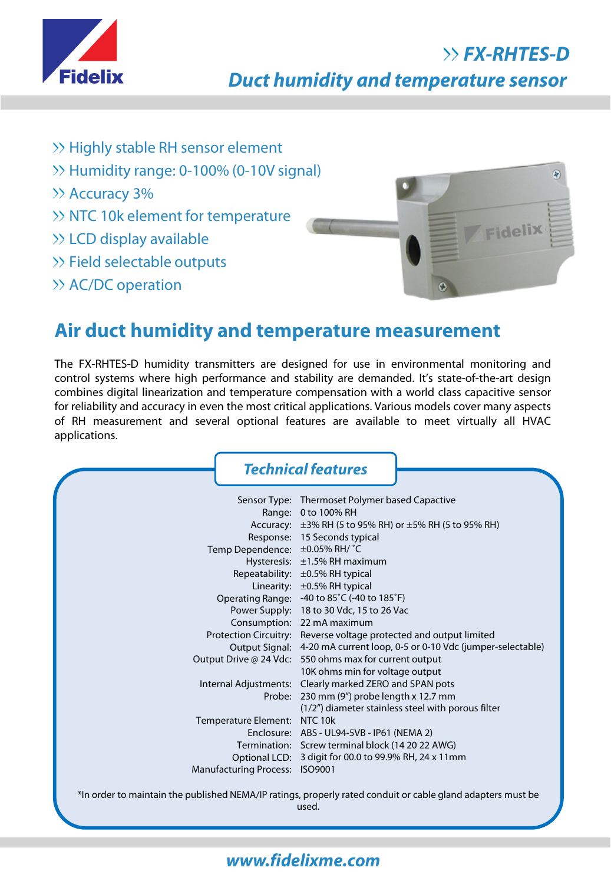

## **FX-RHTES-D Duct humidity and temperature sensor**

- >> Highly stable RH sensor element
- >> Humidity range: 0-100% (0-10V signal)
- >> Accuracy 3%
- $\gg$  NTC 10k element for temperature
- LCD display available
- >> Field selectable outputs
- >> AC/DC operation



# **Air duct humidity and temperature measurement**

The FX-RHTES-D humidity transmitters are designed for use in environmental monitoring and control systems where high performance and stability are demanded. It's state-of-the-art design combines digital linearization and temperature compensation with a world class capacitive sensor for reliability and accuracy in even the most critical applications. Various models cover many aspects of RH measurement and several optional features are available to meet virtually all HVAC applications.

|                                                                                                                      | <b>Technical features</b>                                                |
|----------------------------------------------------------------------------------------------------------------------|--------------------------------------------------------------------------|
|                                                                                                                      | Sensor Type: Thermoset Polymer based Capactive                           |
|                                                                                                                      | Range: 0 to 100% RH                                                      |
|                                                                                                                      | Accuracy: ±3% RH (5 to 95% RH) or ±5% RH (5 to 95% RH)                   |
|                                                                                                                      | Response: 15 Seconds typical                                             |
| Temp Dependence: ±0.05% RH/ °C                                                                                       |                                                                          |
|                                                                                                                      | Hysteresis: ±1.5% RH maximum                                             |
|                                                                                                                      | Repeatability: ±0.5% RH typical                                          |
|                                                                                                                      | Linearity: $\pm 0.5\%$ RH typical                                        |
|                                                                                                                      | Operating Range: -40 to 85°C (-40 to 185°F)                              |
|                                                                                                                      | Power Supply: 18 to 30 Vdc, 15 to 26 Vac                                 |
|                                                                                                                      | Consumption: 22 mA maximum                                               |
|                                                                                                                      | Protection Circuitry: Reverse voltage protected and output limited       |
|                                                                                                                      | Output Signal: 4-20 mA current loop, 0-5 or 0-10 Vdc (jumper-selectable) |
|                                                                                                                      | Output Drive @ 24 Vdc: 550 ohms max for current output                   |
|                                                                                                                      | 10K ohms min for voltage output                                          |
|                                                                                                                      | Internal Adjustments: Clearly marked ZERO and SPAN pots                  |
|                                                                                                                      | Probe: 230 mm (9") probe length x 12.7 mm                                |
|                                                                                                                      | (1/2") diameter stainless steel with porous filter                       |
| Temperature Element:                                                                                                 | NTC 10k                                                                  |
|                                                                                                                      | Enclosure: ABS - UL94-5VB - IP61 (NEMA 2)                                |
|                                                                                                                      | Termination: Screw terminal block (14 20 22 AWG)                         |
|                                                                                                                      | Optional LCD: 3 digit for 00.0 to 99.9% RH, 24 x 11mm                    |
| Manufacturing Process: ISO9001                                                                                       |                                                                          |
| *In order to maintain the published NEMA/IP ratings, properly rated conduit or cable gland adapters must be<br>used. |                                                                          |

### **www.fidelixme.com**